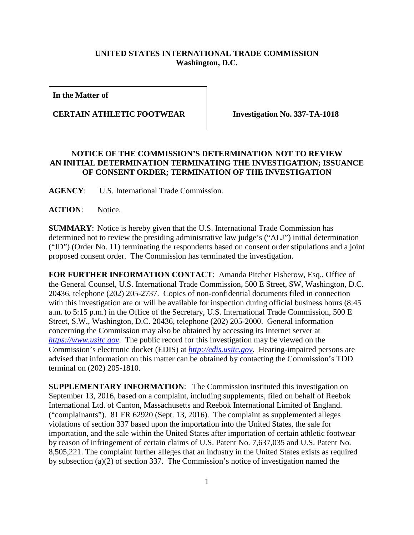## **UNITED STATES INTERNATIONAL TRADE COMMISSION Washington, D.C.**

**In the Matter of**

**CERTAIN ATHLETIC FOOTWEAR Investigation No. 337-TA-1018**

## **NOTICE OF THE COMMISSION'S DETERMINATION NOT TO REVIEW AN INITIAL DETERMINATION TERMINATING THE INVESTIGATION; ISSUANCE OF CONSENT ORDER; TERMINATION OF THE INVESTIGATION**

**AGENCY**: U.S. International Trade Commission.

**ACTION**: Notice.

**SUMMARY**: Notice is hereby given that the U.S. International Trade Commission has determined not to review the presiding administrative law judge's ("ALJ") initial determination ("ID") (Order No. 11) terminating the respondents based on consent order stipulations and a joint proposed consent order. The Commission has terminated the investigation.

**FOR FURTHER INFORMATION CONTACT**: Amanda Pitcher Fisherow, Esq., Office of the General Counsel, U.S. International Trade Commission, 500 E Street, SW, Washington, D.C. 20436, telephone (202) 205-2737. Copies of non-confidential documents filed in connection with this investigation are or will be available for inspection during official business hours  $(8:45)$ a.m. to 5:15 p.m.) in the Office of the Secretary, U.S. International Trade Commission, 500 E Street, S.W., Washington, D.C. 20436, telephone (202) 205-2000. General information concerning the Commission may also be obtained by accessing its Internet server at *[https://www.usitc.gov](https://www.usitc.gov/)*. The public record for this investigation may be viewed on the Commission's electronic docket (EDIS) at *[http://edis.usitc.gov](http://edis.usitc.gov/)*. Hearing-impaired persons are advised that information on this matter can be obtained by contacting the Commission's TDD terminal on (202) 205-1810.

**SUPPLEMENTARY INFORMATION:** The Commission instituted this investigation on September 13, 2016, based on a complaint, including supplements, filed on behalf of Reebok International Ltd. of Canton, Massachusetts and Reebok International Limited of England. ("complainants"). 81 FR 62920 (Sept. 13, 2016). The complaint as supplemented alleges violations of section 337 based upon the importation into the United States, the sale for importation, and the sale within the United States after importation of certain athletic footwear by reason of infringement of certain claims of U.S. Patent No. 7,637,035 and U.S. Patent No. 8,505,221. The complaint further alleges that an industry in the United States exists as required by subsection (a)(2) of section 337. The Commission's notice of investigation named the